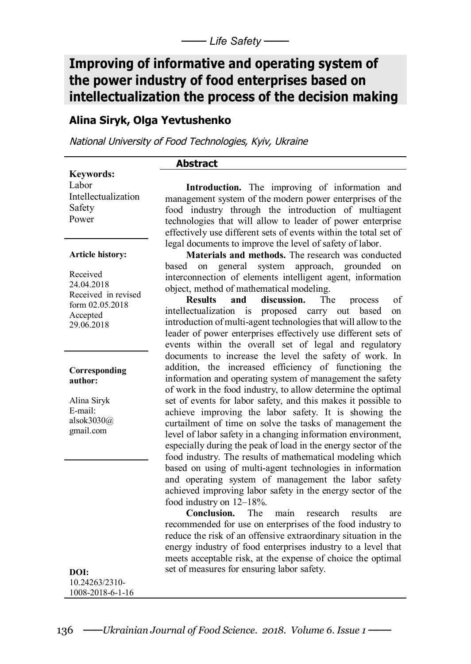# **Improving of informative and operating system of the power industry of food enterprises based on intellectualization the process of the decision making**

# **Alina Siryk, Olga Yevtushenko**

*National University of Food Technologies, Kyiv, Ukraine*

## **Abstract**

**Keywords:** Labor Intellectualization Safety Power

**Introduction.** The improving of information and management system of the modern power enterprises of the food industry through the introduction of multiagent technologies that will allow to leader of power enterprise effectively use different sets of events within the total set of legal documents to improve the level of safety of labor.

#### **Article history:**

Received 24.04.2018 Received in revised form 02.05.2018 Accepted 29.06.2018

#### **Corresponding author:**

Alina Siryk E-mail: alsok3030@ gmail.com

**Materials and methods.** The research was conducted based on general system approach, grounded on interconnection of elements intelligent agent, information object, method of mathematical modeling.

**Results and discussion.** The process of intellectualization is proposed carry out based on introduction of multi-agent technologies that will allow to the leader of power enterprises effectively use different sets of events within the overall set of legal and regulatory documents to increase the level the safety of work. In addition, the increased efficiency of functioning the information and operating system of management the safety of work in the food industry, to allow determine the optimal set of events for labor safety, and this makes it possible to achieve improving the labor safety. It is showing the curtailment of time on solve the tasks of management the level of labor safety in a changing information environment, especially during the peak of load in the energy sector of the food industry. The results of mathematical modeling which based on using of multi-agent technologies in information and operating system of management the labor safety achieved improving labor safety in the energy sector of the food industry on 12–18%.<br>Conclusion. The

The main research results are recommended for use on enterprises of the food industry to reduce the risk of an offensive extraordinary situation in the energy industry of food enterprises industry to a level that meets acceptable risk, at the expense of choice the optimal set of measures for ensuring labor safety.

**DOI:** 10.24263/2310- 1008-2018-6-1-16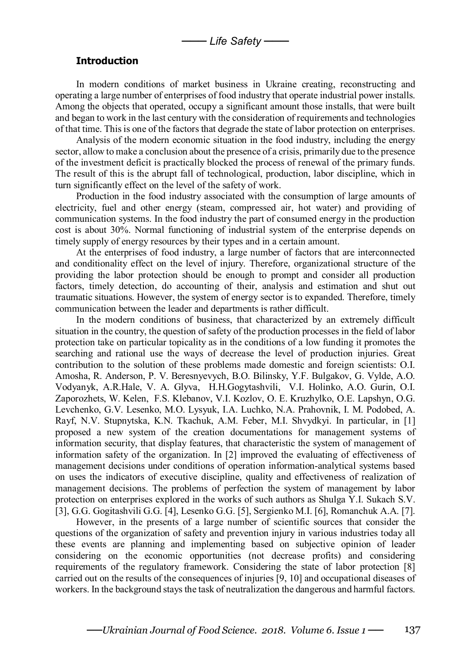## **Introduction**

In modern conditions of market business in Ukraine creating, reconstructing and operating a large number of enterprises of food industry that operate industrial power installs. Among the objects that operated, occupy a significant amount those installs, that were built and began to work in the last century with the consideration of requirements and technologies of that time. This is one of the factors that degrade the state of labor protection on enterprises.

Analysis of the modern economic situation in the food industry, including the energy sector, allow to make a conclusion about the presence of a crisis, primarily due to the presence of the investment deficit is practically blocked the process of renewal of the primary funds. The result of this is the abrupt fall of technological, production, labor discipline, which in turn significantly effect on the level of the safety of work.

Production in the food industry associated with the consumption of large amounts of electricity, fuel and other energy (steam, compressed air, hot water) and providing of communication systems. In the food industry the part of consumed energy in the production cost is about 30%. Normal functioning of industrial system of the enterprise depends on timely supply of energy resources by their types and in a certain amount.

At the enterprises of food industry, a large number of factors that are interconnected and conditionality effect on the level of injury. Therefore, organizational structure of the providing the labor protection should be enough to prompt and consider all production factors, timely detection, do accounting of their, analysis and estimation and shut out traumatic situations. However, the system of energy sector is to expanded. Therefore, timely communication between the leader and departments is rather difficult.

In the modern conditions of business, that characterized by an extremely difficult situation in the country, the question of safety of the production processes in the field of labor protection take on particular topicality as in the conditions of a low funding it promotes the searching and rational use the ways of decrease the level of production injuries. Great contribution to the solution of these problems made domestic and foreign scientists: O.I. Amosha, R. Anderson, P. V. Beresnyevych, B.O. Bilinsky, Y.F. Bulgakov, G. Vylde, A.O. Vodyanyk, A.R.Hale, V. A. Glyva, H.H.Gogytashvili, V.I. Holinko, A.O. Gurin, O.I. Zaporozhets, W. Kelen, F.S. Klebanov, V.I. Kozlov, O. E. Kruzhylko, O.E. Lapshyn, O.G. Levchenko, G.V. Lesenko, M.O. Lysyuk, I.A. Luchko, N.A. Prahovnik, I. M. Podobed, A. Rayf, N.V. Stupnytska, K.N. Tkachuk, A.M. Feber, M.I. Shvydkyi. In particular, in [1] proposed a new system of the creation documentations for management systems of information security, that display features, that characteristic the system of management of information safety of the organization. In [2] improved the evaluating of effectiveness of management decisions under conditions of operation information-analytical systems based on uses the indicators of executive discipline, quality and effectiveness of realization of management decisions. The problems of perfection the system of management by labor protection on enterprises explored in the works of such authors as Shulga Y.I. Sukach S.V. [3], G.G. Gogitashvili G.G. [4], Lesenko G.G. [5], Sergienko M.I. [6], Romanchuk A.A. [7].

However, in the presents of a large number of scientific sources that consider the questions of the organization of safety and prevention injury in various industries today all these events are planning and implementing based on subjective opinion of leader considering on the economic opportunities (not decrease profits) and considering requirements of the regulatory framework. Considering the state of labor protection [8] carried out on the results of the consequences of injuries [9, 10] and occupational diseases of workers. In the background stays the task of neutralization the dangerous and harmful factors.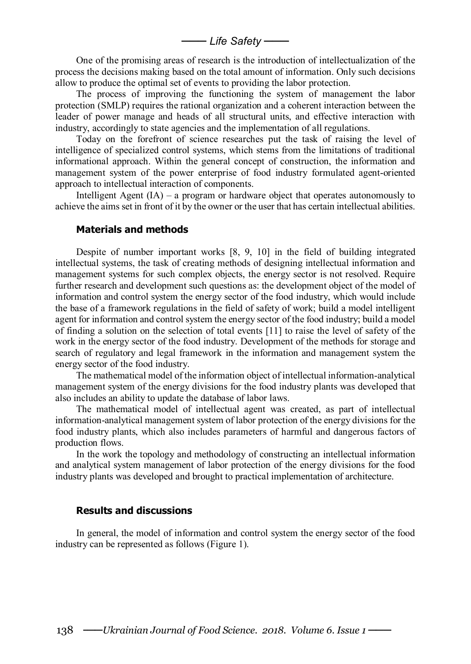─── *Life Safety* ───

One of the promising areas of research is the introduction of intellectualization of the process the decisions making based on the total amount of information. Only such decisions allow to produce the optimal set of events to providing the labor protection.

The process of improving the functioning the system of management the labor protection (SMLP) requires the rational organization and a coherent interaction between the leader of power manage and heads of all structural units, and effective interaction with industry, accordingly to state agencies and the implementation of all regulations.

Today on the forefront of science researches put the task of raising the level of intelligence of specialized control systems, which stems from the limitations of traditional informational approach. Within the general concept of construction, the information and management system of the power enterprise of food industry formulated agent-oriented approach to intellectual interaction of components.

Intelligent Agent  $(IA)$  – a program or hardware object that operates autonomously to achieve the aims set in front of it by the owner or the user that has certain intellectual abilities.

### **Materials and methods**

Despite of number important works [8, 9, 10] in the field of building integrated intellectual systems, the task of creating methods of designing intellectual information and management systems for such complex objects, the energy sector is not resolved. Require further research and development such questions as: the development object of the model of information and control system the energy sector of the food industry, which would include the base of a framework regulations in the field of safety of work; build a model intelligent agent for information and control system the energy sector of the food industry; build a model of finding a solution on the selection of total events [11] to raise the level of safety of the work in the energy sector of the food industry. Development of the methods for storage and search of regulatory and legal framework in the information and management system the energy sector of the food industry.

The mathematical model of the information object of intellectual information-analytical management system of the energy divisions for the food industry plants was developed that also includes an ability to update the database of labor laws.

The mathematical model of intellectual agent was created, as part of intellectual information-analytical management system of labor protection of the energy divisions for the food industry plants, which also includes parameters of harmful and dangerous factors of production flows.

In the work the topology and methodology of constructing an intellectual information and analytical system management of labor protection of the energy divisions for the food industry plants was developed and brought to practical implementation of architecture.

## **Results and discussions**

In general, the model of information and control system the energy sector of the food industry can be represented as follows (Figure 1).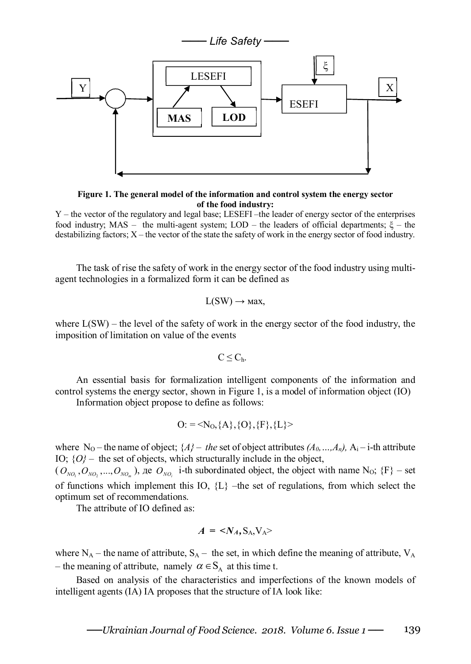

**Figure 1. The general model of the information and control system the energy sector of the food industry:**

Y – the vector of the regulatory and legal base; LESEFI –the leader of energy sector of the enterprises food industry;  $MAS -$  the multi-agent system;  $LOD -$  the leaders of official departments;  $\xi -$  the destabilizing factors; X – the vector of the state the safety of work in the energy sector of food industry.

The task of rise the safety of work in the energy sector of the food industry using multiagent technologies in a formalized form it can be defined as

$$
L(SW) \rightarrow \text{max},
$$

where  $L(SW)$  – the level of the safety of work in the energy sector of the food industry, the imposition of limitation on value of the events

$$
C\leq C_h.
$$

An essential basis for formalization intelligent components of the information and control systems the energy sector, shown in Figure 1, is a model of information object (IO)

Information object propose to define as follows:

$$
O: =
$$

where N<sub>O</sub> – the name of object;  $\{A\}$  – *the* set of object attributes  $(A_0, ..., A_n)$ ,  $A_i$  – *i*-th attribute ІО; {*О}* – the set of objects, which structurally include in the object,

 $(O_{NQ_1}, O_{NQ_2},...,O_{NQ_m})$ ,  $\text{Re } O_{NQ_i}$  i-th subordinated object, the object with name N<sub>O</sub>;  $\{F\}$  – set of functions which implement this IO,  ${L}$  –the set of regulations, from which select the optimum set of recommendations.

The attribute of IO defined as:

$$
A = \langle N_A, S_A, V_A \rangle
$$

where  $N_A$  – the name of attribute,  $S_A$  – the set, in which define the meaning of attribute,  $V_A$ – the meaning of attribute, namely  $\alpha \in S_A$  at this time t.

Based on analysis of the characteristics and imperfections of the known models of intelligent agents (IA) IA proposes that the structure of IA look like: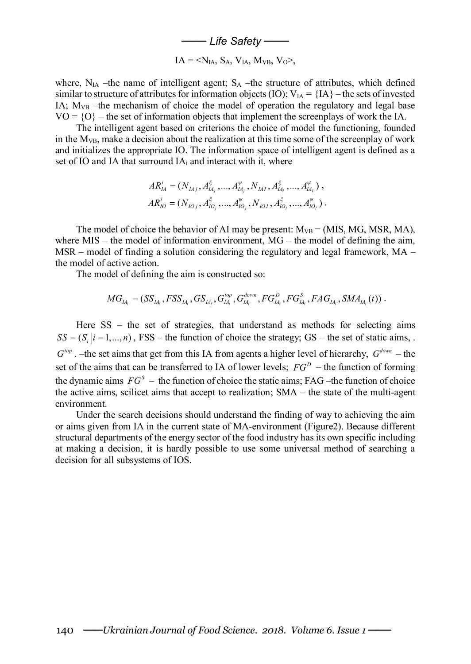─── *Life Safety* ───

$$
IA = \leq N_{IA}, S_A, V_{IA}, M_{VB}, V_O>,
$$

where,  $N_{IA}$  –the name of intelligent agent;  $S_A$  –the structure of attributes, which defined similar to structure of attributes for information objects (IO);  $V_{IA} = \{IA\}$  – the sets of invested ІА; MVB –the mechanism of choice the model of operation the regulatory and legal base  $VO = \{O\}$  – the set of information objects that implement the screenplays of work the IA.

The intelligent agent based on criterions the choice of model the functioning, founded in the  $M_{VB}$ , make a decision about the realization at this time some of the screenplay of work and initializes the appropriate IO. The information space of intelligent agent is defined as a set of IO and IA that surround IA<sup>i</sup> and interact with it, where

$$
AR_{IA}^i = (N_{IAj}, A_{IA_j}^{\xi}, ..., A_{IA_j}^{\psi}, N_{IAI}, A_{IA_j}^{\xi}, ..., A_{IA_l}^{\psi}),
$$
  
\n
$$
AR_{IO}^i = (N_{IOj}, A_{IO_j}^{\xi}, ..., A_{IO_j}^{\psi}, N_{IOI}, A_{IO_j}^{\xi}, ..., A_{IO_l}^{\psi}).
$$

The model of choice the behavior of AI may be present:  $M_{VB} = (MIS, MG, MSR, MA)$ , where  $MIS$  – the model of information environment,  $MG$  – the model of defining the aim, MSR – model of finding a solution considering the regulatory and legal framework,  $MA$  – the model of active action.

The model of defining the aim is constructed so:

$$
MG_{IA_i} = (SS_{IA_i}, FSS_{IA_i}, GS_{IA_i}, G_{IA_i}^{top}, G_{IA_i}^{down}, FG_{IA_i}^D, FG_{IA_i}^S, FAG_{IA_i}, SMA_{IA_i}(t))
$$

Here  $SS$  – the set of strategies, that understand as methods for selecting aims  $SS = (S, |i = 1,..., n)$ , FSS – the function of choice the strategy; GS – the set of static aims, .  $G^{top}$ . –the set aims that get from this IA from agents a higher level of hierarchy,  $G^{down}$  – the set of the aims that can be transferred to IA of lower levels;  $FG<sup>D</sup>$  – the function of forming the dynamic aims  $FG<sup>S</sup>$  – the function of choice the static aims; FAG –the function of choice the active aims, scilicet aims that accept to realization; SMA – the state of the multi-agent environment.

Under the search decisions should understand the finding of way to achieving the aim or aims given from IA in the current state of MA-environment (Figure2). Because different structural departments of the energy sector of the food industry has its own specific including at making a decision, it is hardly possible to use some universal method of searching a decision for all subsystems of IOS.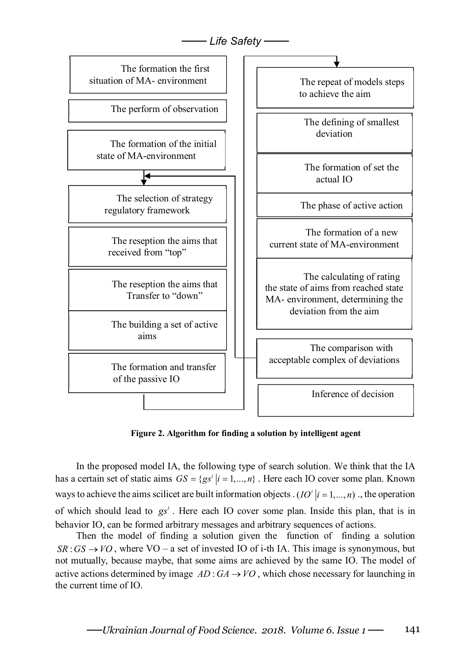

**Figure 2. Algorithm for finding a solution by intelligent agent** 

In the proposed model IA, the following type of search solution. We think that the IA has a certain set of static aims  $GS = \{gs^i | i = 1, ..., n\}$ . Here each IO cover some plan. Known ways to achieve the aims scilicet are built information objects  $(IO<sup>i</sup> | i = 1,...,n)$ , the operation of which should lead to  $gs<sup>i</sup>$ . Here each IO cover some plan. Inside this plan, that is in behavior IO, can be formed arbitrary messages and arbitrary sequences of actions.

Then the model of finding a solution given the function of finding a solution  $SR: GS \rightarrow VO$ , where VO – a set of invested IO of i-th IA. This image is synonymous, but not mutually, because maybe, that some aims are achieved by the same IO. The model of active actions determined by image  $AD: GA \rightarrow VO$ , which chose necessary for launching in the current time of IO.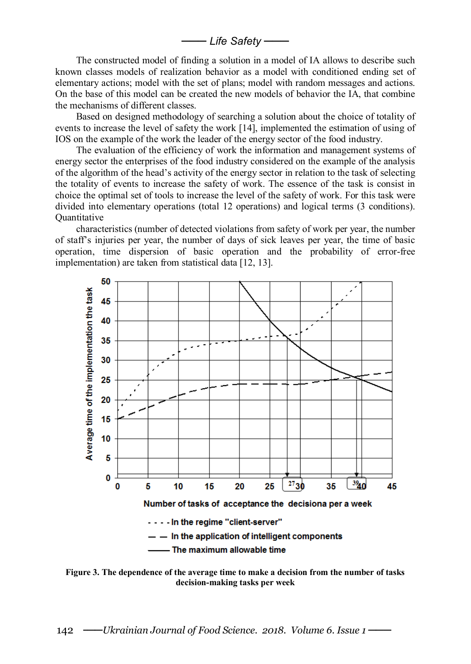─── *Life Safety* ───

The constructed model of finding a solution in a model of IA allows to describe such known classes models of realization behavior as a model with conditioned ending set of elementary actions; model with the set of plans; model with random messages and actions. On the base of this model can be created the new models of behavior the IA, that combine the mechanisms of different classes.

Based on designed methodology of searching a solution about the choice of totality of events to increase the level of safety the work [14], implemented the estimation of using of IOS on the example of the work the leader of the energy sector of the food industry.

The evaluation of the efficiency of work the information and management systems of energy sector the enterprises of the food industry considered on the example of the analysis of the algorithm of the head's activity of the energy sector in relation to the task of selecting the totality of events to increase the safety of work. The essence of the task is consist in choice the optimal set of tools to increase the level of the safety of work. For this task were divided into elementary operations (total 12 operations) and logical terms (3 conditions). **Quantitative** 

characteristics (number of detected violations from safety of work per year, the number of staff's injuries per year, the number of days of sick leaves per year, the time of basic operation, time dispersion of basic operation and the probability of error-free implementation) are taken from statistical data [12, 13].



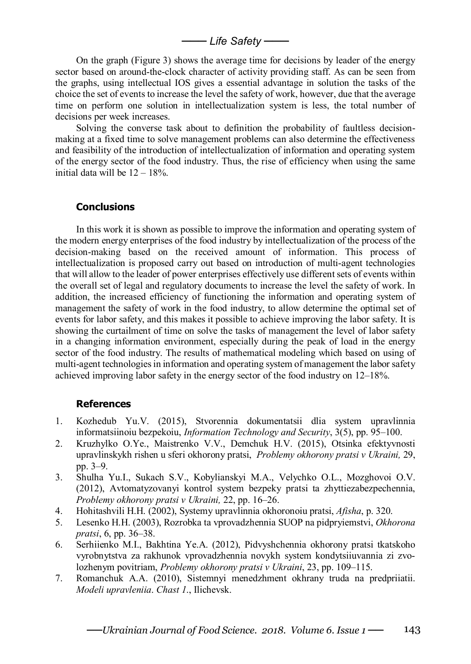─── *Life Safety* ───

On the graph (Figure 3) shows the average time for decisions by leader of the energy sector based on around-the-clock character of activity providing staff. As can be seen from the graphs, using intellectual IOS gives a essential advantage in solution the tasks of the choice the set of events to increase the level the safety of work, however, due that the average time on perform one solution in intellectualization system is less, the total number of decisions per week increases.

Solving the converse task about to definition the probability of faultless decisionmaking at a fixed time to solve management problems can also determine the effectiveness and feasibility of the introduction of intellectualization of information and operating system of the energy sector of the food industry. Thus, the rise of efficiency when using the same initial data will be  $12 - 18\%$ .

# **Conclusions**

In this work it is shown as possible to improve the information and operating system of the modern energy enterprises of the food industry by intellectualization of the process of the decision-making based on the received amount of information. This process of intellectualization is proposed carry out based on introduction of multi-agent technologies that will allow to the leader of power enterprises effectively use different sets of events within the overall set of legal and regulatory documents to increase the level the safety of work. In addition, the increased efficiency of functioning the information and operating system of management the safety of work in the food industry, to allow determine the optimal set of events for labor safety, and this makes it possible to achieve improving the labor safety. It is showing the curtailment of time on solve the tasks of management the level of labor safety in a changing information environment, especially during the peak of load in the energy sector of the food industry. The results of mathematical modeling which based on using of multi-agent technologies in information and operating system of management the labor safety achieved improving labor safety in the energy sector of the food industry on 12–18%.

## **References**

- 1. Kozhedub Yu.V. (2015), Stvorennia dokumentatsii dlia system upravlinnia informatsiinoiu bezpekoiu, *Information Technology and Security*, 3(5), pp. 95–100.
- 2. Kruzhylko O.Ye., Maistrenko V.V., Demchuk H.V. (2015), Otsinka efektyvnosti upravlinskykh rishen u sferi okhorony pratsi, *Problemy okhorony pratsi v Ukraini,* 29, pp. 3–9.
- 3. Shulha Yu.I., Sukach S.V., Kobylianskyi M.A., Velychko O.L., Mozghovoi O.V. (2012), Avtomatyzovanyi kontrol system bezpeky pratsi ta zhyttiezabezpechennia, *Problemy okhorony pratsi v Ukraini,* 22, pp. 16–26.
- 4. Hohitashvili H.H. (2002), Systemy upravlinnia okhoronoiu pratsi, *Afisha*, p. 320.
- 5. Lesenko H.H. (2003), Rozrobka ta vprovadzhennia SUOP na pidpryiemstvi, *Okhorona pratsi*, 6, pp. 36–38.
- 6. Serhiienko M.I., Bakhtina Ye.A. (2012), Pidvyshchennia okhorony pratsi tkatskoho vyrobnytstva za rakhunok vprovadzhennia novykh system kondytsiiuvannia zi zvolozhenym povitriam, *Problemy okhorony pratsi v Ukraini*, 23, pp. 109–115.
- 7. Romanchuk A.A. (2010), Sistemnyi menedzhment okhrany truda na predpriiatii. *Modeli upravleniia*. *Chast 1*., Ilichevsk.